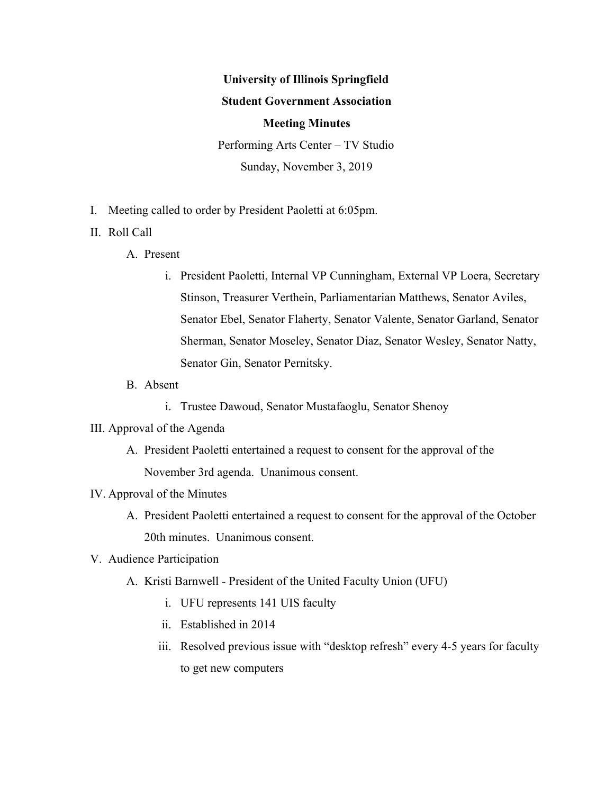# **University of Illinois Springfield Student Government Association Meeting Minutes** Performing Arts Center – TV Studio

Sunday, November 3, 2019

- I. Meeting called to order by President Paoletti at 6:05pm.
- II. Roll Call
	- A. Present
		- i. President Paoletti, Internal VP Cunningham, External VP Loera, Secretary Stinson, Treasurer Verthein, Parliamentarian Matthews, Senator Aviles, Senator Ebel, Senator Flaherty, Senator Valente, Senator Garland, Senator Sherman, Senator Moseley, Senator Diaz, Senator Wesley, Senator Natty, Senator Gin, Senator Pernitsky.
	- B. Absent
		- i. Trustee Dawoud, Senator Mustafaoglu, Senator Shenoy
- III. Approval of the Agenda
	- A. President Paoletti entertained a request to consent for the approval of the November 3rd agenda. Unanimous consent.
- IV. Approval of the Minutes
	- A. President Paoletti entertained a request to consent for the approval of the October 20th minutes. Unanimous consent.
- V. Audience Participation
	- A. Kristi Barnwell President of the United Faculty Union (UFU)
		- i. UFU represents 141 UIS faculty
		- ii. Established in 2014
		- iii. Resolved previous issue with "desktop refresh" every 4-5 years for faculty to get new computers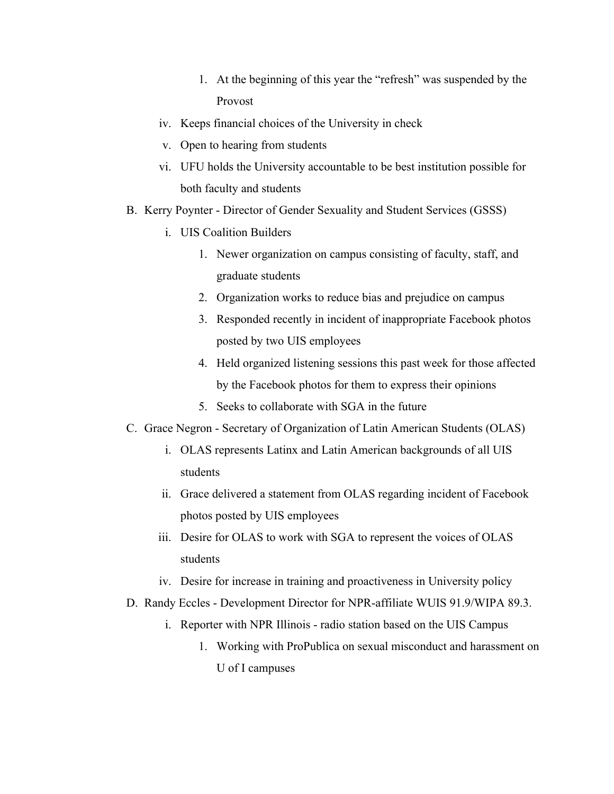- 1. At the beginning of this year the "refresh" was suspended by the Provost
- iv. Keeps financial choices of the University in check
- v. Open to hearing from students
- vi. UFU holds the University accountable to be best institution possible for both faculty and students
- B. Kerry Poynter Director of Gender Sexuality and Student Services (GSSS)
	- i. UIS Coalition Builders
		- 1. Newer organization on campus consisting of faculty, staff, and graduate students
		- 2. Organization works to reduce bias and prejudice on campus
		- 3. Responded recently in incident of inappropriate Facebook photos posted by two UIS employees
		- 4. Held organized listening sessions this past week for those affected by the Facebook photos for them to express their opinions
		- 5. Seeks to collaborate with SGA in the future
- C. Grace Negron Secretary of Organization of Latin American Students (OLAS)
	- i. OLAS represents Latinx and Latin American backgrounds of all UIS students
	- ii. Grace delivered a statement from OLAS regarding incident of Facebook photos posted by UIS employees
	- iii. Desire for OLAS to work with SGA to represent the voices of OLAS students
	- iv. Desire for increase in training and proactiveness in University policy
- D. Randy Eccles Development Director for NPR-affiliate WUIS 91.9/WIPA 89.3.
	- i. Reporter with NPR Illinois radio station based on the UIS Campus
		- 1. Working with ProPublica on sexual misconduct and harassment on U of I campuses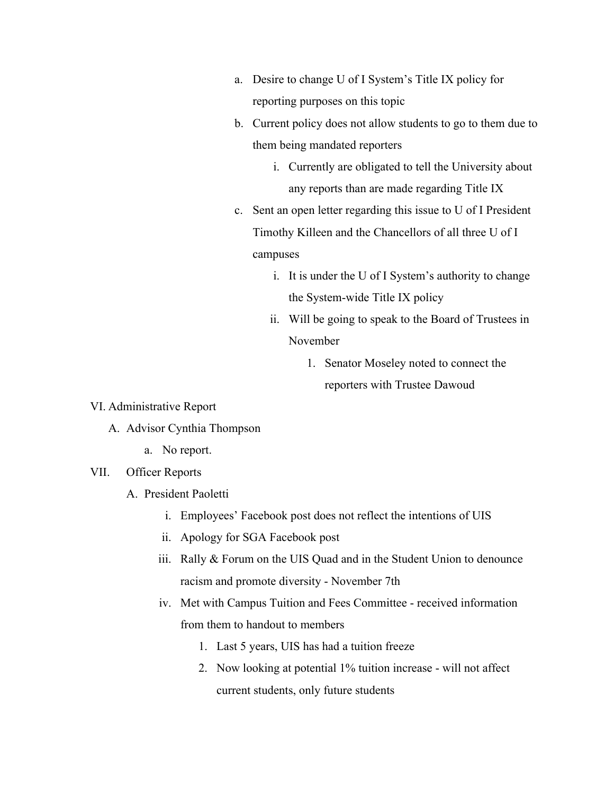- a. Desire to change U of I System's Title IX policy for reporting purposes on this topic
- b. Current policy does not allow students to go to them due to them being mandated reporters
	- i. Currently are obligated to tell the University about any reports than are made regarding Title IX
- c. Sent an open letter regarding this issue to U of I President Timothy Killeen and the Chancellors of all three U of I campuses
	- i. It is under the U of I System's authority to change the System-wide Title IX policy
	- ii. Will be going to speak to the Board of Trustees in November
		- 1. Senator Moseley noted to connect the reporters with Trustee Dawoud

- VI. Administrative Report
	- A. Advisor Cynthia Thompson
		- a. No report.
- VII. Officer Reports
	- A. President Paoletti
		- i. Employees' Facebook post does not reflect the intentions of UIS
		- ii. Apology for SGA Facebook post
		- iii. Rally & Forum on the UIS Quad and in the Student Union to denounce racism and promote diversity - November 7th
		- iv. Met with Campus Tuition and Fees Committee received information from them to handout to members
			- 1. Last 5 years, UIS has had a tuition freeze
			- 2. Now looking at potential 1% tuition increase will not affect current students, only future students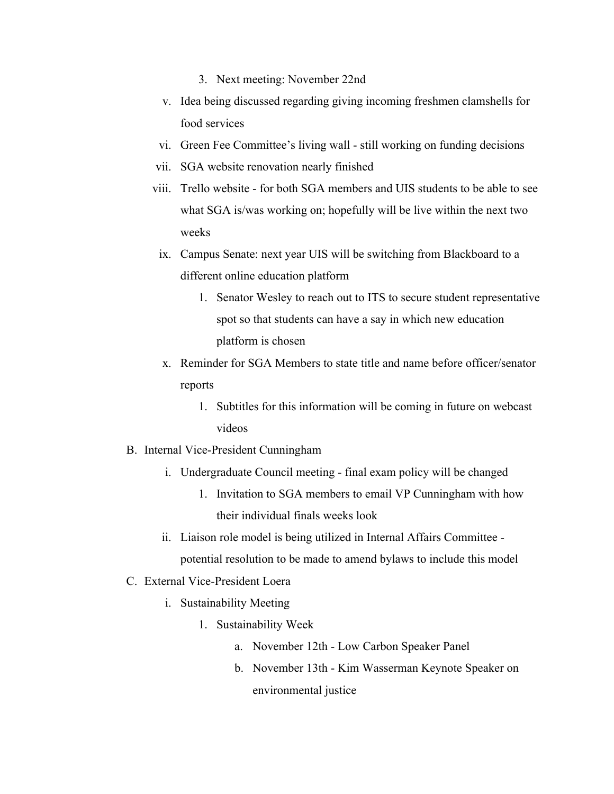- 3. Next meeting: November 22nd
- v. Idea being discussed regarding giving incoming freshmen clamshells for food services
- vi. Green Fee Committee's living wall still working on funding decisions
- vii. SGA website renovation nearly finished
- viii. Trello website for both SGA members and UIS students to be able to see what SGA is/was working on; hopefully will be live within the next two weeks
- ix. Campus Senate: next year UIS will be switching from Blackboard to a different online education platform
	- 1. Senator Wesley to reach out to ITS to secure student representative spot so that students can have a say in which new education platform is chosen
- x. Reminder for SGA Members to state title and name before officer/senator reports
	- 1. Subtitles for this information will be coming in future on webcast videos
- B. Internal Vice-President Cunningham
	- i. Undergraduate Council meeting final exam policy will be changed
		- 1. Invitation to SGA members to email VP Cunningham with how their individual finals weeks look
	- ii. Liaison role model is being utilized in Internal Affairs Committee potential resolution to be made to amend bylaws to include this model
- C. External Vice-President Loera
	- i. Sustainability Meeting
		- 1. Sustainability Week
			- a. November 12th Low Carbon Speaker Panel
			- b. November 13th Kim Wasserman Keynote Speaker on environmental justice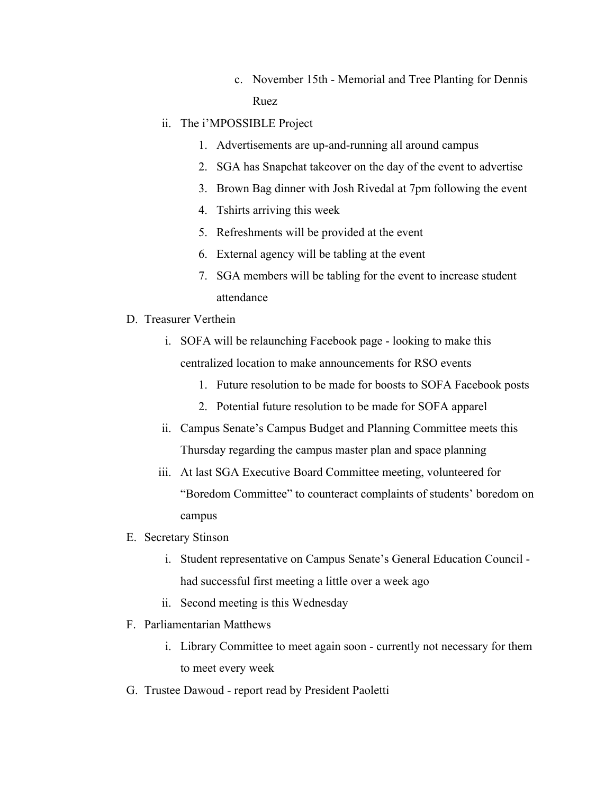c. November 15th - Memorial and Tree Planting for Dennis Ruez

# ii. The i'MPOSSIBLE Project

- 1. Advertisements are up-and-running all around campus
- 2. SGA has Snapchat takeover on the day of the event to advertise
- 3. Brown Bag dinner with Josh Rivedal at 7pm following the event
- 4. Tshirts arriving this week
- 5. Refreshments will be provided at the event
- 6. External agency will be tabling at the event
- 7. SGA members will be tabling for the event to increase student attendance
- D. Treasurer Verthein
	- i. SOFA will be relaunching Facebook page looking to make this centralized location to make announcements for RSO events
		- 1. Future resolution to be made for boosts to SOFA Facebook posts
		- 2. Potential future resolution to be made for SOFA apparel
	- ii. Campus Senate's Campus Budget and Planning Committee meets this Thursday regarding the campus master plan and space planning
	- iii. At last SGA Executive Board Committee meeting, volunteered for "Boredom Committee" to counteract complaints of students' boredom on campus
- E. Secretary Stinson
	- i. Student representative on Campus Senate's General Education Council had successful first meeting a little over a week ago
	- ii. Second meeting is this Wednesday
- F. Parliamentarian Matthews
	- i. Library Committee to meet again soon currently not necessary for them to meet every week
- G. Trustee Dawoud report read by President Paoletti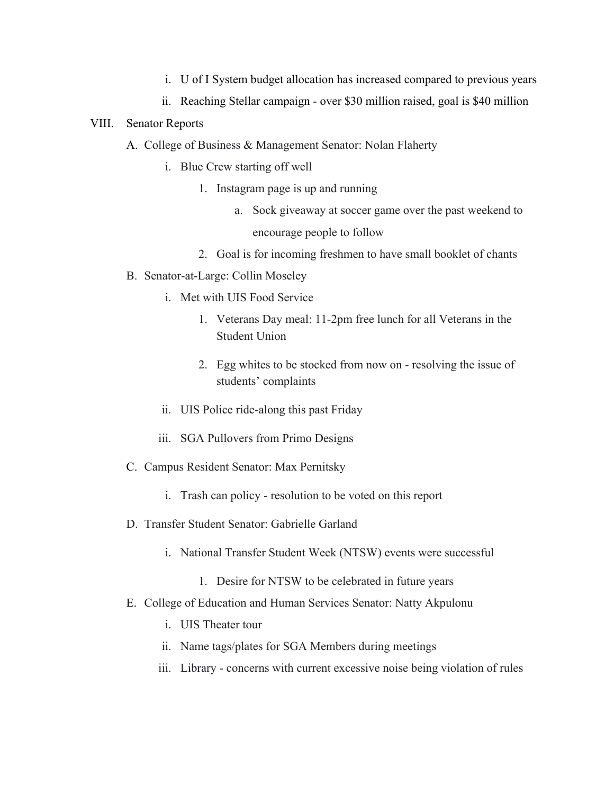- i. U of I System budget allocation has increased compared to previous years
- ii. Reaching Stellar campaign over \$30 million raised, goal is \$40 million

#### VIII. Senator Reports

- A. College of Business & Management Senator: Nolan Flaherty
	- i. Blue Crew starting off well
		- 1. Instagram page is up and running
			- a. Sock giveaway at soccer game over the past weekend to encourage people to follow
		- 2. Goal is for incoming freshmen to have small booklet of chants
- B. Senator-at-Large: Collin Moseley
	- i. Met with UIS Food Service
		- 1. Veterans Day meal: 11-2pm free lunch for all Veterans in the Student Union
		- 2. Egg whites to be stocked from now on resolving the issue of students' complaints
	- ii. UIS Police ride-along this past Friday
	- iii. SGA Pullovers from Primo Designs
- C. Campus Resident Senator: Max Pernitsky
	- i. Trash can policy resolution to be voted on this report
- D. Transfer Student Senator: Gabrielle Garland
	- i. National Transfer Student Week (NTSW) events were successful
		- 1. Desire for NTSW to be celebrated in future years
- E. College of Education and Human Services Senator: Natty Akpulonu
	- i. UIS Theater tour
	- ii. Name tags/plates for SGA Members during meetings
	- iii. Library concerns with current excessive noise being violation of rules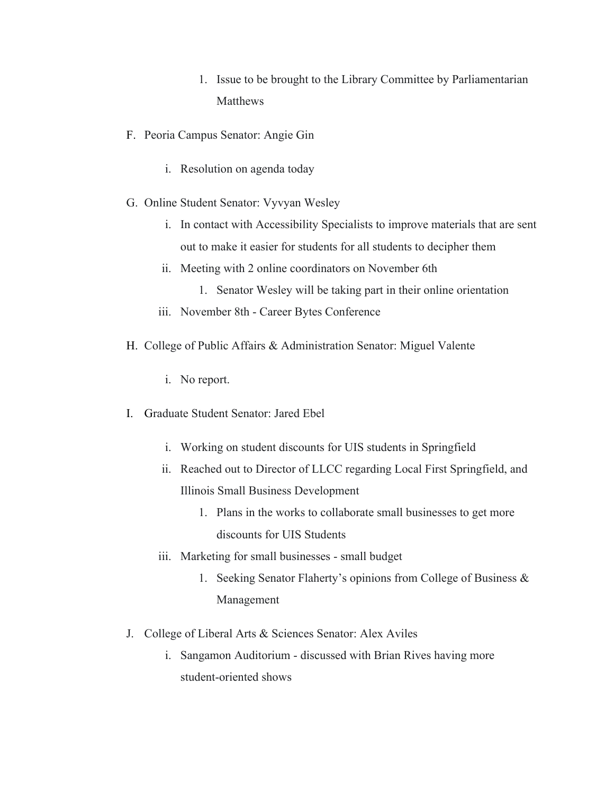- 1. Issue to be brought to the Library Committee by Parliamentarian **Matthews**
- F. Peoria Campus Senator: Angie Gin
	- i. Resolution on agenda today
- G. Online Student Senator: Vyvyan Wesley
	- i. In contact with Accessibility Specialists to improve materials that are sent out to make it easier for students for all students to decipher them
	- ii. Meeting with 2 online coordinators on November 6th
		- 1. Senator Wesley will be taking part in their online orientation
	- iii. November 8th Career Bytes Conference
- H. College of Public Affairs & Administration Senator: Miguel Valente
	- i. No report.
- I. Graduate Student Senator: Jared Ebel
	- i. Working on student discounts for UIS students in Springfield
	- ii. Reached out to Director of LLCC regarding Local First Springfield, and Illinois Small Business Development
		- 1. Plans in the works to collaborate small businesses to get more discounts for UIS Students
	- iii. Marketing for small businesses small budget
		- 1. Seeking Senator Flaherty's opinions from College of Business & Management
- J. College of Liberal Arts & Sciences Senator: Alex Aviles
	- i. Sangamon Auditorium discussed with Brian Rives having more student-oriented shows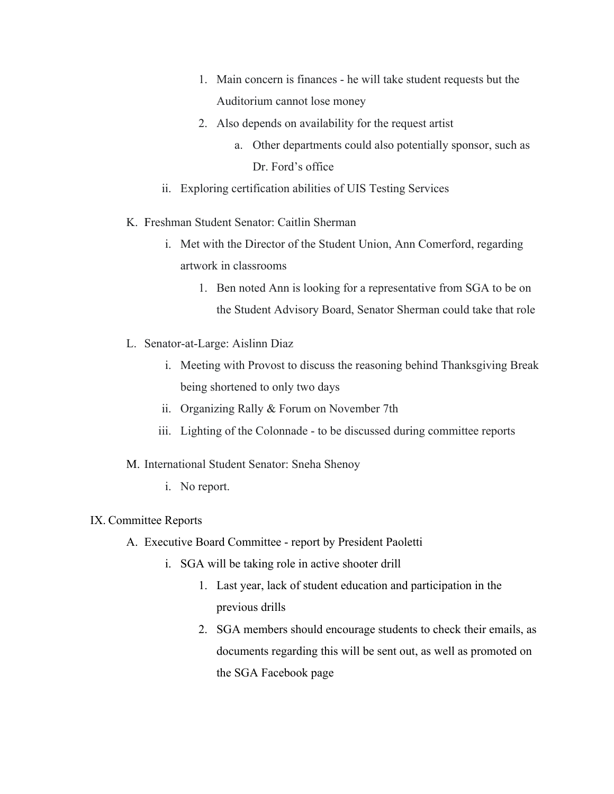- 1. Main concern is finances he will take student requests but the Auditorium cannot lose money
- 2. Also depends on availability for the request artist
	- a. Other departments could also potentially sponsor, such as Dr. Ford's office
- ii. Exploring certification abilities of UIS Testing Services
- K. Freshman Student Senator: Caitlin Sherman
	- i. Met with the Director of the Student Union, Ann Comerford, regarding artwork in classrooms
		- 1. Ben noted Ann is looking for a representative from SGA to be on the Student Advisory Board, Senator Sherman could take that role
- L. Senator-at-Large: Aislinn Diaz
	- i. Meeting with Provost to discuss the reasoning behind Thanksgiving Break being shortened to only two days
	- ii. Organizing Rally & Forum on November 7th
	- iii. Lighting of the Colonnade to be discussed during committee reports

## M. International Student Senator: Sneha Shenoy

i. No report.

## IX. Committee Reports

- A. Executive Board Committee report by President Paoletti
	- i. SGA will be taking role in active shooter drill
		- 1. Last year, lack of student education and participation in the previous drills
		- 2. SGA members should encourage students to check their emails, as documents regarding this will be sent out, as well as promoted on the SGA Facebook page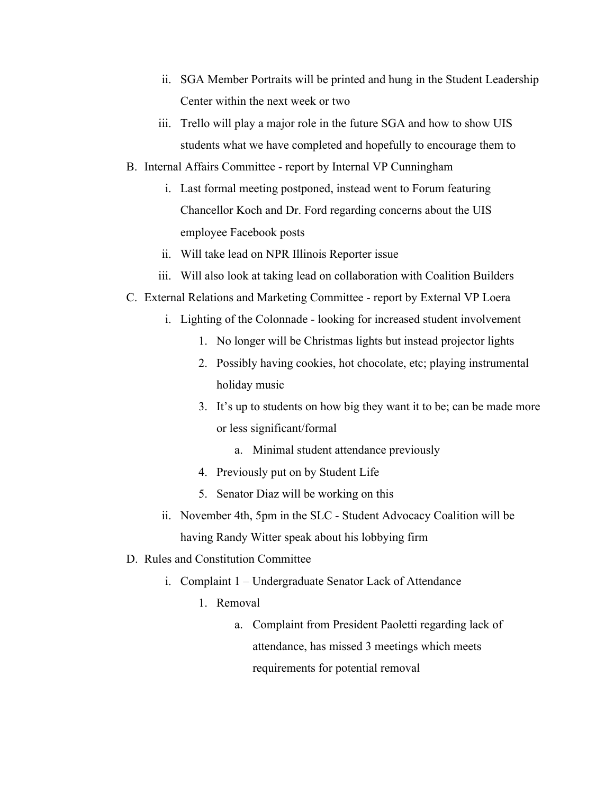- ii. SGA Member Portraits will be printed and hung in the Student Leadership Center within the next week or two
- iii. Trello will play a major role in the future SGA and how to show UIS students what we have completed and hopefully to encourage them to
- B. Internal Affairs Committee report by Internal VP Cunningham
	- i. Last formal meeting postponed, instead went to Forum featuring Chancellor Koch and Dr. Ford regarding concerns about the UIS employee Facebook posts
	- ii. Will take lead on NPR Illinois Reporter issue
	- iii. Will also look at taking lead on collaboration with Coalition Builders
- C. External Relations and Marketing Committee report by External VP Loera
	- i. Lighting of the Colonnade looking for increased student involvement
		- 1. No longer will be Christmas lights but instead projector lights
		- 2. Possibly having cookies, hot chocolate, etc; playing instrumental holiday music
		- 3. It's up to students on how big they want it to be; can be made more or less significant/formal
			- a. Minimal student attendance previously
		- 4. Previously put on by Student Life
		- 5. Senator Diaz will be working on this
	- ii. November 4th, 5pm in the SLC Student Advocacy Coalition will be having Randy Witter speak about his lobbying firm
- D. Rules and Constitution Committee
	- i. Complaint 1 Undergraduate Senator Lack of Attendance
		- 1. Removal
			- a. Complaint from President Paoletti regarding lack of attendance, has missed 3 meetings which meets requirements for potential removal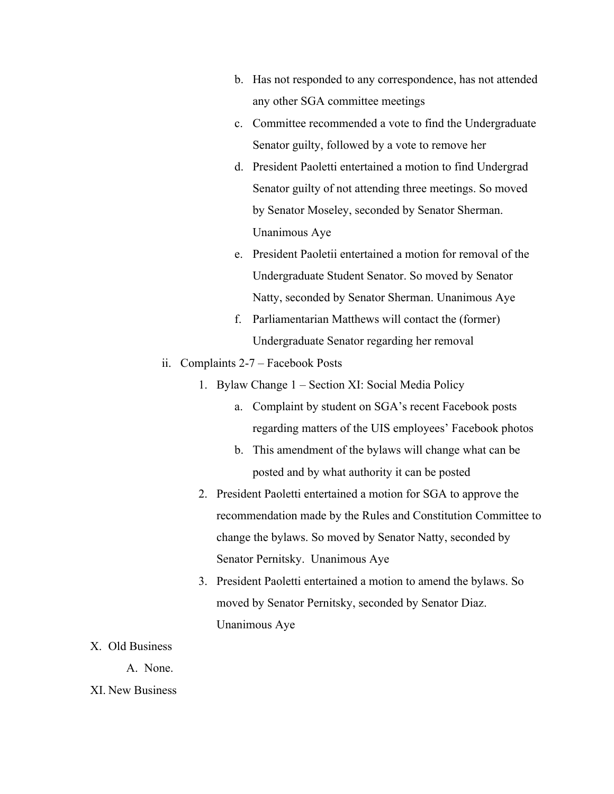- b. Has not responded to any correspondence, has not attended any other SGA committee meetings
- c. Committee recommended a vote to find the Undergraduate Senator guilty, followed by a vote to remove her
- d. President Paoletti entertained a motion to find Undergrad Senator guilty of not attending three meetings. So moved by Senator Moseley, seconded by Senator Sherman. Unanimous Aye
- e. President Paoletii entertained a motion for removal of the Undergraduate Student Senator. So moved by Senator Natty, seconded by Senator Sherman. Unanimous Aye
- f. Parliamentarian Matthews will contact the (former) Undergraduate Senator regarding her removal
- ii. Complaints 2-7 Facebook Posts
	- 1. Bylaw Change 1 Section XI: Social Media Policy
		- a. Complaint by student on SGA's recent Facebook posts regarding matters of the UIS employees' Facebook photos
		- b. This amendment of the bylaws will change what can be posted and by what authority it can be posted
	- 2. President Paoletti entertained a motion for SGA to approve the recommendation made by the Rules and Constitution Committee to change the bylaws. So moved by Senator Natty, seconded by Senator Pernitsky. Unanimous Aye
	- 3. President Paoletti entertained a motion to amend the bylaws. So moved by Senator Pernitsky, seconded by Senator Diaz. Unanimous Aye
- X. Old Business
	- A. None.
- XI. New Business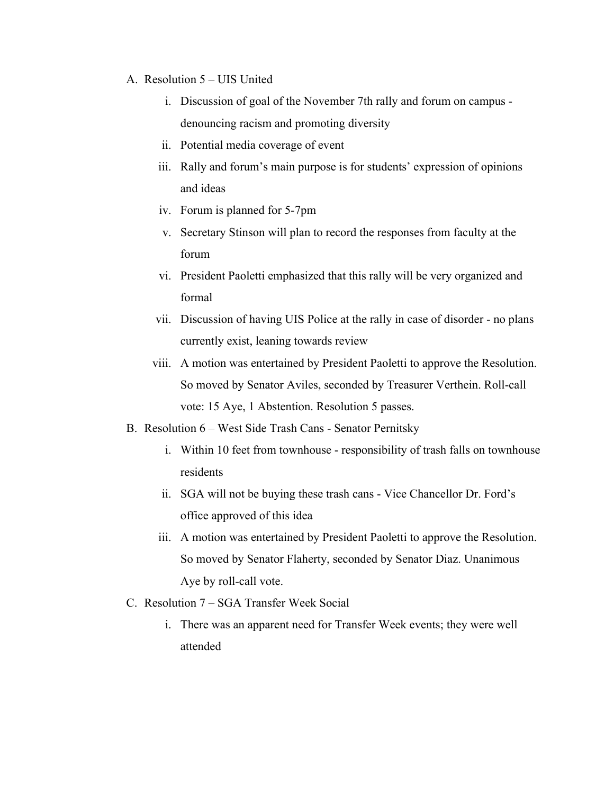- A. Resolution 5 UIS United
	- i. Discussion of goal of the November 7th rally and forum on campus denouncing racism and promoting diversity
	- ii. Potential media coverage of event
	- iii. Rally and forum's main purpose is for students' expression of opinions and ideas
	- iv. Forum is planned for 5-7pm
	- v. Secretary Stinson will plan to record the responses from faculty at the forum
	- vi. President Paoletti emphasized that this rally will be very organized and formal
	- vii. Discussion of having UIS Police at the rally in case of disorder no plans currently exist, leaning towards review
	- viii. A motion was entertained by President Paoletti to approve the Resolution. So moved by Senator Aviles, seconded by Treasurer Verthein. Roll-call vote: 15 Aye, 1 Abstention. Resolution 5 passes.
- B. Resolution 6 West Side Trash Cans Senator Pernitsky
	- i. Within 10 feet from townhouse responsibility of trash falls on townhouse residents
	- ii. SGA will not be buying these trash cans Vice Chancellor Dr. Ford's office approved of this idea
	- iii. A motion was entertained by President Paoletti to approve the Resolution. So moved by Senator Flaherty, seconded by Senator Diaz. Unanimous Aye by roll-call vote.
- C. Resolution 7 SGA Transfer Week Social
	- i. There was an apparent need for Transfer Week events; they were well attended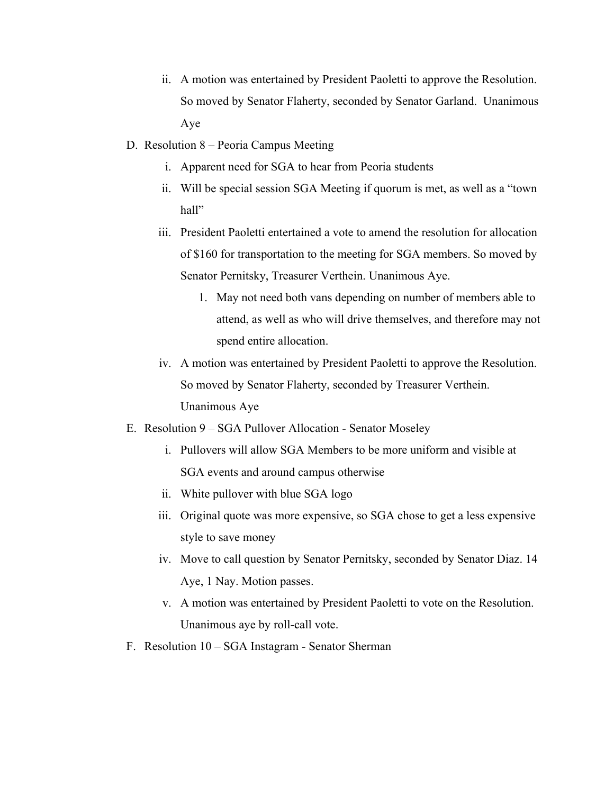- ii. A motion was entertained by President Paoletti to approve the Resolution. So moved by Senator Flaherty, seconded by Senator Garland. Unanimous Aye
- D. Resolution 8 Peoria Campus Meeting
	- i. Apparent need for SGA to hear from Peoria students
	- ii. Will be special session SGA Meeting if quorum is met, as well as a "town hall"
	- iii. President Paoletti entertained a vote to amend the resolution for allocation of \$160 for transportation to the meeting for SGA members. So moved by Senator Pernitsky, Treasurer Verthein. Unanimous Aye.
		- 1. May not need both vans depending on number of members able to attend, as well as who will drive themselves, and therefore may not spend entire allocation.
	- iv. A motion was entertained by President Paoletti to approve the Resolution. So moved by Senator Flaherty, seconded by Treasurer Verthein. Unanimous Aye
- E. Resolution 9 SGA Pullover Allocation Senator Moseley
	- i. Pullovers will allow SGA Members to be more uniform and visible at SGA events and around campus otherwise
	- ii. White pullover with blue SGA logo
	- iii. Original quote was more expensive, so SGA chose to get a less expensive style to save money
	- iv. Move to call question by Senator Pernitsky, seconded by Senator Diaz. 14 Aye, 1 Nay. Motion passes.
	- v. A motion was entertained by President Paoletti to vote on the Resolution. Unanimous aye by roll-call vote.
- F. Resolution 10 SGA Instagram Senator Sherman